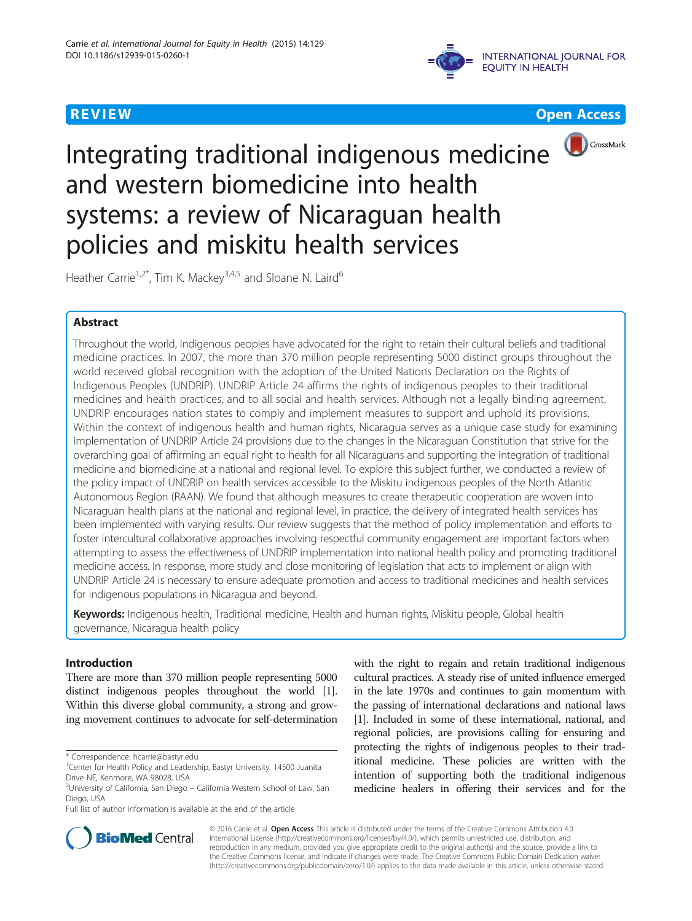





Integrating traditional indigenous medicine and western biomedicine into health systems: a review of Nicaraguan health policies and miskitu health services

Heather Carrie<sup>1,2\*</sup>, Tim K. Mackey<sup>3,4,5</sup> and Sloane N. Laird<sup>6</sup>

# Abstract

Throughout the world, indigenous peoples have advocated for the right to retain their cultural beliefs and traditional medicine practices. In 2007, the more than 370 million people representing 5000 distinct groups throughout the world received global recognition with the adoption of the United Nations Declaration on the Rights of Indigenous Peoples (UNDRIP). UNDRIP Article 24 affirms the rights of indigenous peoples to their traditional medicines and health practices, and to all social and health services. Although not a legally binding agreement, UNDRIP encourages nation states to comply and implement measures to support and uphold its provisions. Within the context of indigenous health and human rights, Nicaragua serves as a unique case study for examining implementation of UNDRIP Article 24 provisions due to the changes in the Nicaraguan Constitution that strive for the overarching goal of affirming an equal right to health for all Nicaraguans and supporting the integration of traditional medicine and biomedicine at a national and regional level. To explore this subject further, we conducted a review of the policy impact of UNDRIP on health services accessible to the Miskitu indigenous peoples of the North Atlantic Autonomous Region (RAAN). We found that although measures to create therapeutic cooperation are woven into Nicaraguan health plans at the national and regional level, in practice, the delivery of integrated health services has been implemented with varying results. Our review suggests that the method of policy implementation and efforts to foster intercultural collaborative approaches involving respectful community engagement are important factors when attempting to assess the effectiveness of UNDRIP implementation into national health policy and promoting traditional medicine access. In response, more study and close monitoring of legislation that acts to implement or align with UNDRIP Article 24 is necessary to ensure adequate promotion and access to traditional medicines and health services for indigenous populations in Nicaragua and beyond.

Keywords: Indigenous health, Traditional medicine, Health and human rights, Miskitu people, Global health governance, Nicaragua health policy

## Introduction

There are more than 370 million people representing 5000 distinct indigenous peoples throughout the world [[1](#page--1-0)]. Within this diverse global community, a strong and growing movement continues to advocate for self-determination

\* Correspondence: [hcarrie@bastyr.edu](mailto:hcarrie@bastyr.edu) <sup>1</sup>

Full list of author information is available at the end of the article

with the right to regain and retain traditional indigenous cultural practices. A steady rise of united influence emerged in the late 1970s and continues to gain momentum with the passing of international declarations and national laws [[1](#page--1-0)]. Included in some of these international, national, and regional policies, are provisions calling for ensuring and protecting the rights of indigenous peoples to their traditional medicine. These policies are written with the intention of supporting both the traditional indigenous medicine healers in offering their services and for the



© 2016 Carrie et al. Open Access This article is distributed under the terms of the Creative Commons Attribution 4.0 International License [\(http://creativecommons.org/licenses/by/4.0/](http://creativecommons.org/licenses/by/4.0/)), which permits unrestricted use, distribution, and reproduction in any medium, provided you give appropriate credit to the original author(s) and the source, provide a link to the Creative Commons license, and indicate if changes were made. The Creative Commons Public Domain Dedication waiver [\(http://creativecommons.org/publicdomain/zero/1.0/](http://creativecommons.org/publicdomain/zero/1.0/)) applies to the data made available in this article, unless otherwise stated.

<sup>&</sup>lt;sup>1</sup> Center for Health Policy and Leadership, Bastyr University, 14500 Juanita Drive NE, Kenmore, WA 98028, USA

<sup>&</sup>lt;sup>2</sup>University of California, San Diego – California Western School of Law, San Diego, USA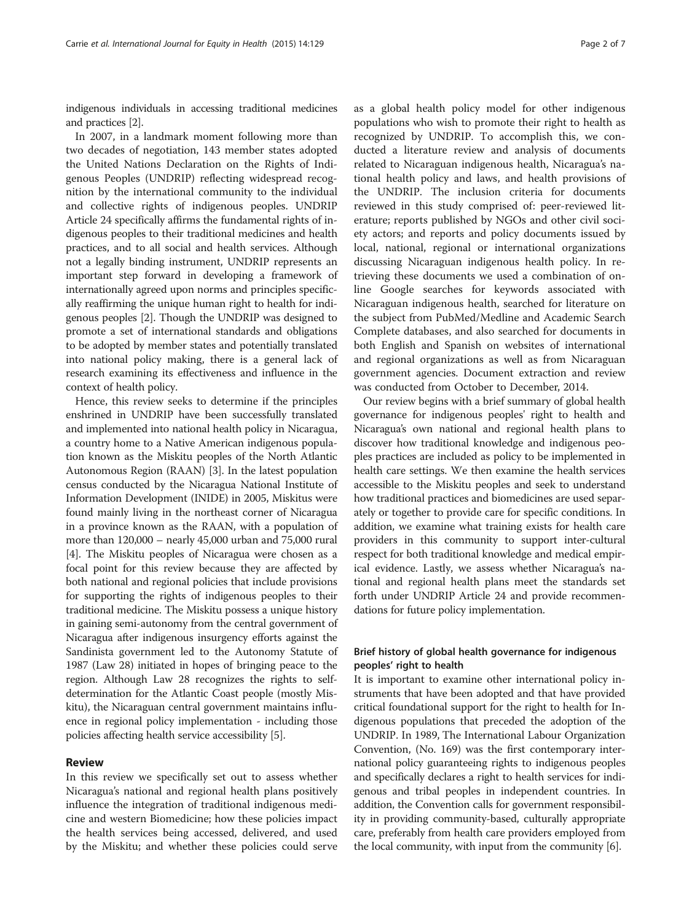indigenous individuals in accessing traditional medicines and practices [[2](#page--1-0)].

In 2007, in a landmark moment following more than two decades of negotiation, 143 member states adopted the United Nations Declaration on the Rights of Indigenous Peoples (UNDRIP) reflecting widespread recognition by the international community to the individual and collective rights of indigenous peoples. UNDRIP Article 24 specifically affirms the fundamental rights of indigenous peoples to their traditional medicines and health practices, and to all social and health services. Although not a legally binding instrument, UNDRIP represents an important step forward in developing a framework of internationally agreed upon norms and principles specifically reaffirming the unique human right to health for indigenous peoples [\[2\]](#page--1-0). Though the UNDRIP was designed to promote a set of international standards and obligations to be adopted by member states and potentially translated into national policy making, there is a general lack of research examining its effectiveness and influence in the context of health policy.

Hence, this review seeks to determine if the principles enshrined in UNDRIP have been successfully translated and implemented into national health policy in Nicaragua, a country home to a Native American indigenous population known as the Miskitu peoples of the North Atlantic Autonomous Region (RAAN) [[3\]](#page--1-0). In the latest population census conducted by the Nicaragua National Institute of Information Development (INIDE) in 2005, Miskitus were found mainly living in the northeast corner of Nicaragua in a province known as the RAAN, with a population of more than 120,000 – nearly 45,000 urban and 75,000 rural [[4\]](#page--1-0). The Miskitu peoples of Nicaragua were chosen as a focal point for this review because they are affected by both national and regional policies that include provisions for supporting the rights of indigenous peoples to their traditional medicine. The Miskitu possess a unique history in gaining semi-autonomy from the central government of Nicaragua after indigenous insurgency efforts against the Sandinista government led to the Autonomy Statute of 1987 (Law 28) initiated in hopes of bringing peace to the region. Although Law 28 recognizes the rights to selfdetermination for the Atlantic Coast people (mostly Miskitu), the Nicaraguan central government maintains influence in regional policy implementation - including those policies affecting health service accessibility [[5\]](#page--1-0).

## Review

In this review we specifically set out to assess whether Nicaragua's national and regional health plans positively influence the integration of traditional indigenous medicine and western Biomedicine; how these policies impact the health services being accessed, delivered, and used by the Miskitu; and whether these policies could serve

as a global health policy model for other indigenous populations who wish to promote their right to health as recognized by UNDRIP. To accomplish this, we conducted a literature review and analysis of documents related to Nicaraguan indigenous health, Nicaragua's national health policy and laws, and health provisions of the UNDRIP. The inclusion criteria for documents reviewed in this study comprised of: peer-reviewed literature; reports published by NGOs and other civil society actors; and reports and policy documents issued by local, national, regional or international organizations discussing Nicaraguan indigenous health policy. In retrieving these documents we used a combination of online Google searches for keywords associated with Nicaraguan indigenous health, searched for literature on the subject from PubMed/Medline and Academic Search Complete databases, and also searched for documents in both English and Spanish on websites of international and regional organizations as well as from Nicaraguan government agencies. Document extraction and review was conducted from October to December, 2014.

Our review begins with a brief summary of global health governance for indigenous peoples' right to health and Nicaragua's own national and regional health plans to discover how traditional knowledge and indigenous peoples practices are included as policy to be implemented in health care settings. We then examine the health services accessible to the Miskitu peoples and seek to understand how traditional practices and biomedicines are used separately or together to provide care for specific conditions. In addition, we examine what training exists for health care providers in this community to support inter-cultural respect for both traditional knowledge and medical empirical evidence. Lastly, we assess whether Nicaragua's national and regional health plans meet the standards set forth under UNDRIP Article 24 and provide recommendations for future policy implementation.

## Brief history of global health governance for indigenous peoples' right to health

It is important to examine other international policy instruments that have been adopted and that have provided critical foundational support for the right to health for Indigenous populations that preceded the adoption of the UNDRIP. In 1989, The International Labour Organization Convention, (No. 169) was the first contemporary international policy guaranteeing rights to indigenous peoples and specifically declares a right to health services for indigenous and tribal peoples in independent countries. In addition, the Convention calls for government responsibility in providing community-based, culturally appropriate care, preferably from health care providers employed from the local community, with input from the community [\[6\]](#page--1-0).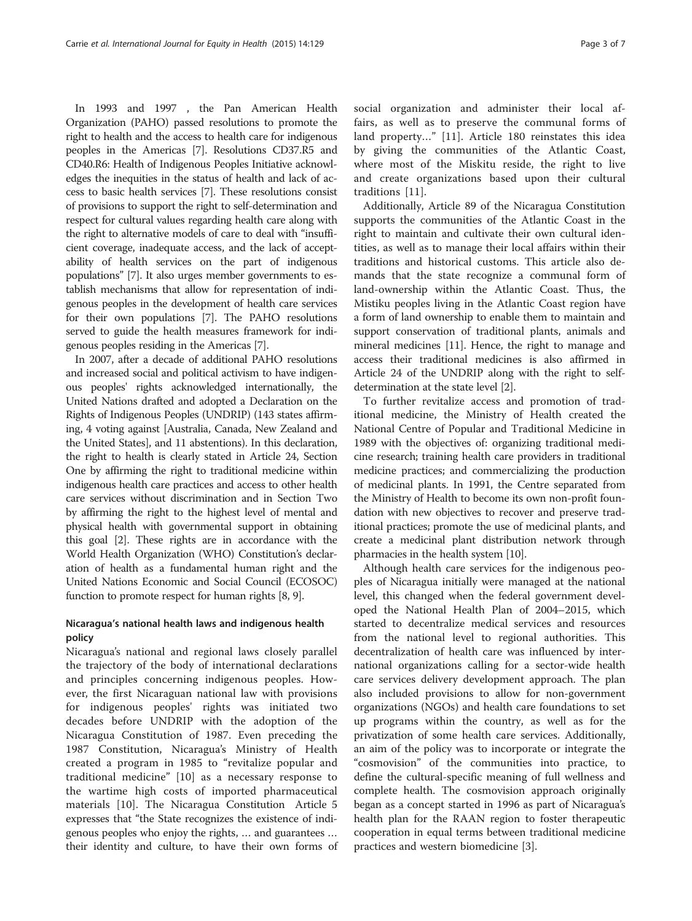In 1993 and 1997 , the Pan American Health Organization (PAHO) passed resolutions to promote the right to health and the access to health care for indigenous peoples in the Americas [\[7](#page--1-0)]. Resolutions CD37.R5 and CD40.R6: Health of Indigenous Peoples Initiative acknowledges the inequities in the status of health and lack of access to basic health services [[7\]](#page--1-0). These resolutions consist of provisions to support the right to self-determination and respect for cultural values regarding health care along with the right to alternative models of care to deal with "insufficient coverage, inadequate access, and the lack of acceptability of health services on the part of indigenous populations" [\[7](#page--1-0)]. It also urges member governments to establish mechanisms that allow for representation of indigenous peoples in the development of health care services for their own populations [[7\]](#page--1-0). The PAHO resolutions served to guide the health measures framework for indigenous peoples residing in the Americas [[7](#page--1-0)].

In 2007, after a decade of additional PAHO resolutions and increased social and political activism to have indigenous peoples' rights acknowledged internationally, the United Nations drafted and adopted a Declaration on the Rights of Indigenous Peoples (UNDRIP) (143 states affirming, 4 voting against [Australia, Canada, New Zealand and the United States], and 11 abstentions). In this declaration, the right to health is clearly stated in Article 24, Section One by affirming the right to traditional medicine within indigenous health care practices and access to other health care services without discrimination and in Section Two by affirming the right to the highest level of mental and physical health with governmental support in obtaining this goal [\[2](#page--1-0)]. These rights are in accordance with the World Health Organization (WHO) Constitution's declaration of health as a fundamental human right and the United Nations Economic and Social Council (ECOSOC) function to promote respect for human rights [[8](#page--1-0), [9\]](#page--1-0).

# Nicaragua's national health laws and indigenous health policy

Nicaragua's national and regional laws closely parallel the trajectory of the body of international declarations and principles concerning indigenous peoples. However, the first Nicaraguan national law with provisions for indigenous peoples' rights was initiated two decades before UNDRIP with the adoption of the Nicaragua Constitution of 1987. Even preceding the 1987 Constitution, Nicaragua's Ministry of Health created a program in 1985 to "revitalize popular and traditional medicine" [[10\]](#page--1-0) as a necessary response to the wartime high costs of imported pharmaceutical materials [[10\]](#page--1-0). The Nicaragua Constitution Article 5 expresses that "the State recognizes the existence of indigenous peoples who enjoy the rights, … and guarantees … their identity and culture, to have their own forms of

social organization and administer their local affairs, as well as to preserve the communal forms of land property…" [\[11\]](#page--1-0). Article 180 reinstates this idea by giving the communities of the Atlantic Coast, where most of the Miskitu reside, the right to live and create organizations based upon their cultural traditions [[11\]](#page--1-0).

Additionally, Article 89 of the Nicaragua Constitution supports the communities of the Atlantic Coast in the right to maintain and cultivate their own cultural identities, as well as to manage their local affairs within their traditions and historical customs. This article also demands that the state recognize a communal form of land-ownership within the Atlantic Coast. Thus, the Mistiku peoples living in the Atlantic Coast region have a form of land ownership to enable them to maintain and support conservation of traditional plants, animals and mineral medicines [\[11](#page--1-0)]. Hence, the right to manage and access their traditional medicines is also affirmed in Article 24 of the UNDRIP along with the right to selfdetermination at the state level [\[2\]](#page--1-0).

To further revitalize access and promotion of traditional medicine, the Ministry of Health created the National Centre of Popular and Traditional Medicine in 1989 with the objectives of: organizing traditional medicine research; training health care providers in traditional medicine practices; and commercializing the production of medicinal plants. In 1991, the Centre separated from the Ministry of Health to become its own non-profit foundation with new objectives to recover and preserve traditional practices; promote the use of medicinal plants, and create a medicinal plant distribution network through pharmacies in the health system [[10](#page--1-0)].

Although health care services for the indigenous peoples of Nicaragua initially were managed at the national level, this changed when the federal government developed the National Health Plan of 2004–2015, which started to decentralize medical services and resources from the national level to regional authorities. This decentralization of health care was influenced by international organizations calling for a sector-wide health care services delivery development approach. The plan also included provisions to allow for non-government organizations (NGOs) and health care foundations to set up programs within the country, as well as for the privatization of some health care services. Additionally, an aim of the policy was to incorporate or integrate the "cosmovision" of the communities into practice, to define the cultural-specific meaning of full wellness and complete health. The cosmovision approach originally began as a concept started in 1996 as part of Nicaragua's health plan for the RAAN region to foster therapeutic cooperation in equal terms between traditional medicine practices and western biomedicine [\[3](#page--1-0)].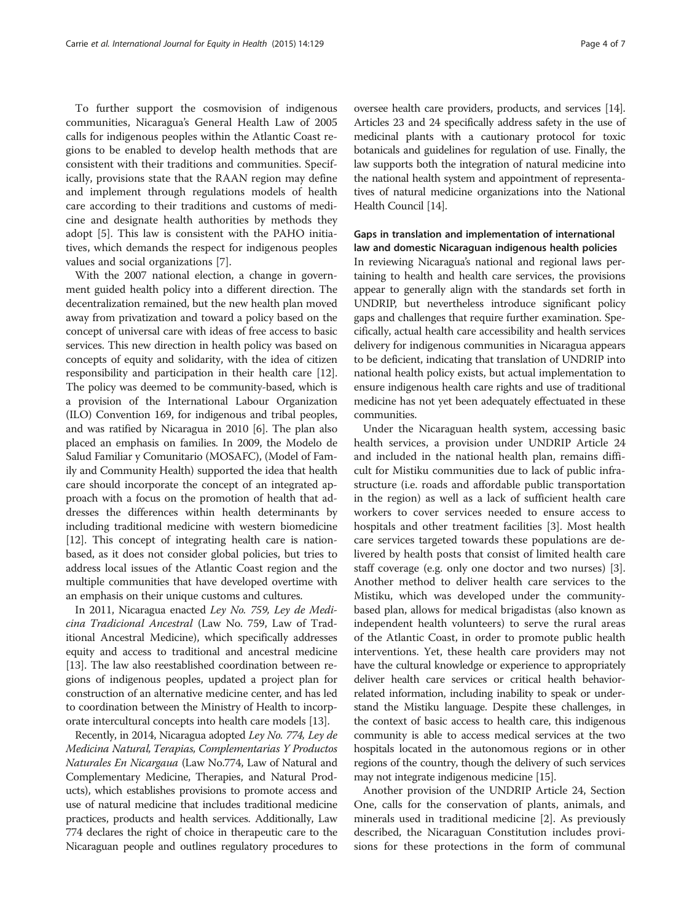To further support the cosmovision of indigenous communities, Nicaragua's General Health Law of 2005 calls for indigenous peoples within the Atlantic Coast regions to be enabled to develop health methods that are consistent with their traditions and communities. Specifically, provisions state that the RAAN region may define and implement through regulations models of health care according to their traditions and customs of medicine and designate health authorities by methods they adopt [[5\]](#page--1-0). This law is consistent with the PAHO initiatives, which demands the respect for indigenous peoples values and social organizations [\[7](#page--1-0)].

With the 2007 national election, a change in government guided health policy into a different direction. The decentralization remained, but the new health plan moved away from privatization and toward a policy based on the concept of universal care with ideas of free access to basic services. This new direction in health policy was based on concepts of equity and solidarity, with the idea of citizen responsibility and participation in their health care [[12](#page--1-0)]. The policy was deemed to be community-based, which is a provision of the International Labour Organization (ILO) Convention 169, for indigenous and tribal peoples, and was ratified by Nicaragua in 2010 [[6](#page--1-0)]. The plan also placed an emphasis on families. In 2009, the Modelo de Salud Familiar y Comunitario (MOSAFC), (Model of Family and Community Health) supported the idea that health care should incorporate the concept of an integrated approach with a focus on the promotion of health that addresses the differences within health determinants by including traditional medicine with western biomedicine [[12](#page--1-0)]. This concept of integrating health care is nationbased, as it does not consider global policies, but tries to address local issues of the Atlantic Coast region and the multiple communities that have developed overtime with an emphasis on their unique customs and cultures.

In 2011, Nicaragua enacted Ley No. 759, Ley de Medicina Tradicional Ancestral (Law No. 759, Law of Traditional Ancestral Medicine), which specifically addresses equity and access to traditional and ancestral medicine [[13](#page--1-0)]. The law also reestablished coordination between regions of indigenous peoples, updated a project plan for construction of an alternative medicine center, and has led to coordination between the Ministry of Health to incorporate intercultural concepts into health care models [\[13\]](#page--1-0).

Recently, in 2014, Nicaragua adopted Ley No. 774, Ley de Medicina Natural, Terapias, Complementarias Y Productos Naturales En Nicargaua (Law No.774, Law of Natural and Complementary Medicine, Therapies, and Natural Products), which establishes provisions to promote access and use of natural medicine that includes traditional medicine practices, products and health services. Additionally, Law 774 declares the right of choice in therapeutic care to the Nicaraguan people and outlines regulatory procedures to oversee health care providers, products, and services [[14](#page--1-0)]. Articles 23 and 24 specifically address safety in the use of medicinal plants with a cautionary protocol for toxic botanicals and guidelines for regulation of use. Finally, the law supports both the integration of natural medicine into the national health system and appointment of representatives of natural medicine organizations into the National Health Council [\[14\]](#page--1-0).

# Gaps in translation and implementation of international law and domestic Nicaraguan indigenous health policies

In reviewing Nicaragua's national and regional laws pertaining to health and health care services, the provisions appear to generally align with the standards set forth in UNDRIP, but nevertheless introduce significant policy gaps and challenges that require further examination. Specifically, actual health care accessibility and health services delivery for indigenous communities in Nicaragua appears to be deficient, indicating that translation of UNDRIP into national health policy exists, but actual implementation to ensure indigenous health care rights and use of traditional medicine has not yet been adequately effectuated in these communities.

Under the Nicaraguan health system, accessing basic health services, a provision under UNDRIP Article 24 and included in the national health plan, remains difficult for Mistiku communities due to lack of public infrastructure (i.e. roads and affordable public transportation in the region) as well as a lack of sufficient health care workers to cover services needed to ensure access to hospitals and other treatment facilities [[3\]](#page--1-0). Most health care services targeted towards these populations are delivered by health posts that consist of limited health care staff coverage (e.g. only one doctor and two nurses) [\[3](#page--1-0)]. Another method to deliver health care services to the Mistiku, which was developed under the communitybased plan, allows for medical brigadistas (also known as independent health volunteers) to serve the rural areas of the Atlantic Coast, in order to promote public health interventions. Yet, these health care providers may not have the cultural knowledge or experience to appropriately deliver health care services or critical health behaviorrelated information, including inability to speak or understand the Mistiku language. Despite these challenges, in the context of basic access to health care, this indigenous community is able to access medical services at the two hospitals located in the autonomous regions or in other regions of the country, though the delivery of such services may not integrate indigenous medicine [\[15\]](#page--1-0).

Another provision of the UNDRIP Article 24, Section One, calls for the conservation of plants, animals, and minerals used in traditional medicine [\[2](#page--1-0)]. As previously described, the Nicaraguan Constitution includes provisions for these protections in the form of communal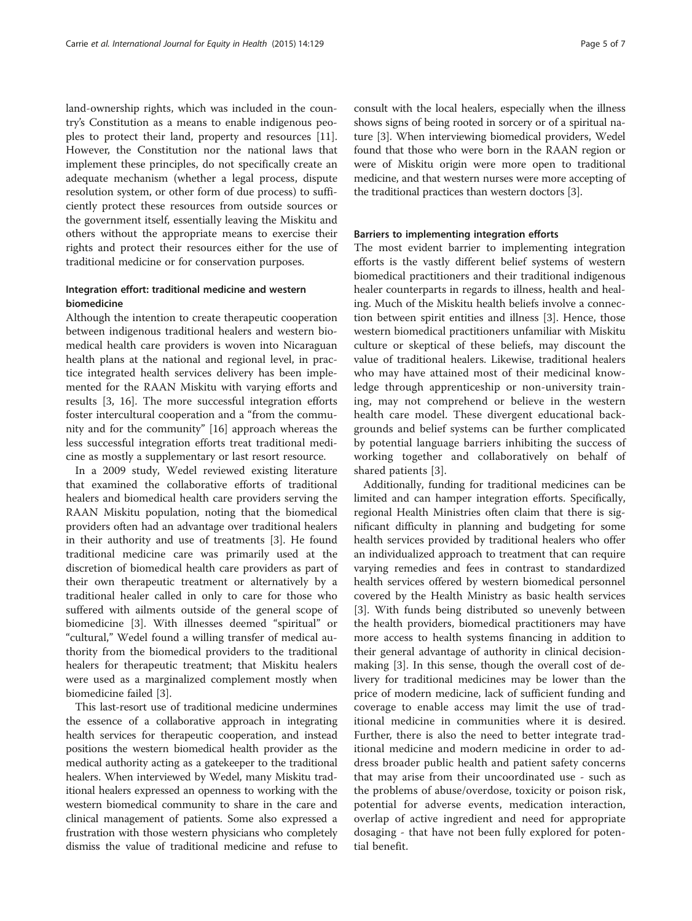land-ownership rights, which was included in the country's Constitution as a means to enable indigenous peoples to protect their land, property and resources [\[11](#page--1-0)]. However, the Constitution nor the national laws that implement these principles, do not specifically create an adequate mechanism (whether a legal process, dispute resolution system, or other form of due process) to sufficiently protect these resources from outside sources or the government itself, essentially leaving the Miskitu and others without the appropriate means to exercise their rights and protect their resources either for the use of traditional medicine or for conservation purposes.

## Integration effort: traditional medicine and western biomedicine

Although the intention to create therapeutic cooperation between indigenous traditional healers and western biomedical health care providers is woven into Nicaraguan health plans at the national and regional level, in practice integrated health services delivery has been implemented for the RAAN Miskitu with varying efforts and results [\[3](#page--1-0), [16\]](#page--1-0). The more successful integration efforts foster intercultural cooperation and a "from the community and for the community" [\[16](#page--1-0)] approach whereas the less successful integration efforts treat traditional medicine as mostly a supplementary or last resort resource.

In a 2009 study, Wedel reviewed existing literature that examined the collaborative efforts of traditional healers and biomedical health care providers serving the RAAN Miskitu population, noting that the biomedical providers often had an advantage over traditional healers in their authority and use of treatments [[3](#page--1-0)]. He found traditional medicine care was primarily used at the discretion of biomedical health care providers as part of their own therapeutic treatment or alternatively by a traditional healer called in only to care for those who suffered with ailments outside of the general scope of biomedicine [[3\]](#page--1-0). With illnesses deemed "spiritual" or "cultural," Wedel found a willing transfer of medical authority from the biomedical providers to the traditional healers for therapeutic treatment; that Miskitu healers were used as a marginalized complement mostly when biomedicine failed [[3\]](#page--1-0).

This last-resort use of traditional medicine undermines the essence of a collaborative approach in integrating health services for therapeutic cooperation, and instead positions the western biomedical health provider as the medical authority acting as a gatekeeper to the traditional healers. When interviewed by Wedel, many Miskitu traditional healers expressed an openness to working with the western biomedical community to share in the care and clinical management of patients. Some also expressed a frustration with those western physicians who completely dismiss the value of traditional medicine and refuse to consult with the local healers, especially when the illness shows signs of being rooted in sorcery or of a spiritual nature [[3](#page--1-0)]. When interviewing biomedical providers, Wedel found that those who were born in the RAAN region or were of Miskitu origin were more open to traditional medicine, and that western nurses were more accepting of the traditional practices than western doctors [[3](#page--1-0)].

### Barriers to implementing integration efforts

The most evident barrier to implementing integration efforts is the vastly different belief systems of western biomedical practitioners and their traditional indigenous healer counterparts in regards to illness, health and healing. Much of the Miskitu health beliefs involve a connection between spirit entities and illness [[3\]](#page--1-0). Hence, those western biomedical practitioners unfamiliar with Miskitu culture or skeptical of these beliefs, may discount the value of traditional healers. Likewise, traditional healers who may have attained most of their medicinal knowledge through apprenticeship or non-university training, may not comprehend or believe in the western health care model. These divergent educational backgrounds and belief systems can be further complicated by potential language barriers inhibiting the success of working together and collaboratively on behalf of shared patients [\[3](#page--1-0)].

Additionally, funding for traditional medicines can be limited and can hamper integration efforts. Specifically, regional Health Ministries often claim that there is significant difficulty in planning and budgeting for some health services provided by traditional healers who offer an individualized approach to treatment that can require varying remedies and fees in contrast to standardized health services offered by western biomedical personnel covered by the Health Ministry as basic health services [[3\]](#page--1-0). With funds being distributed so unevenly between the health providers, biomedical practitioners may have more access to health systems financing in addition to their general advantage of authority in clinical decisionmaking [[3\]](#page--1-0). In this sense, though the overall cost of delivery for traditional medicines may be lower than the price of modern medicine, lack of sufficient funding and coverage to enable access may limit the use of traditional medicine in communities where it is desired. Further, there is also the need to better integrate traditional medicine and modern medicine in order to address broader public health and patient safety concerns that may arise from their uncoordinated use - such as the problems of abuse/overdose, toxicity or poison risk, potential for adverse events, medication interaction, overlap of active ingredient and need for appropriate dosaging - that have not been fully explored for potential benefit.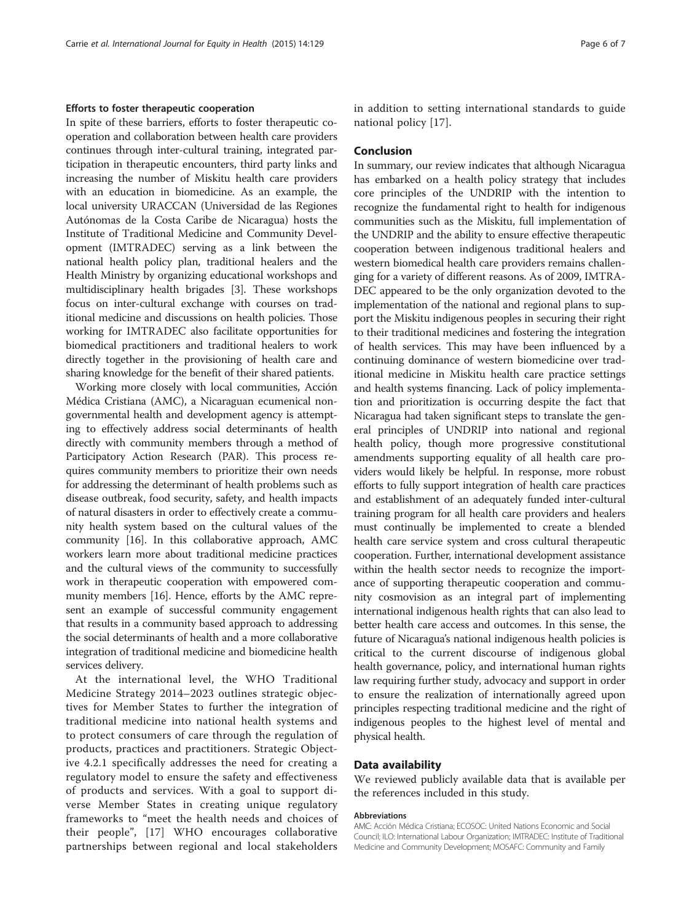#### Efforts to foster therapeutic cooperation

In spite of these barriers, efforts to foster therapeutic cooperation and collaboration between health care providers continues through inter-cultural training, integrated participation in therapeutic encounters, third party links and increasing the number of Miskitu health care providers with an education in biomedicine. As an example, the local university URACCAN (Universidad de las Regiones Autónomas de la Costa Caribe de Nicaragua) hosts the Institute of Traditional Medicine and Community Development (IMTRADEC) serving as a link between the national health policy plan, traditional healers and the Health Ministry by organizing educational workshops and multidisciplinary health brigades [[3\]](#page--1-0). These workshops focus on inter-cultural exchange with courses on traditional medicine and discussions on health policies. Those working for IMTRADEC also facilitate opportunities for biomedical practitioners and traditional healers to work directly together in the provisioning of health care and sharing knowledge for the benefit of their shared patients.

Working more closely with local communities, Acción Médica Cristiana (AMC), a Nicaraguan ecumenical nongovernmental health and development agency is attempting to effectively address social determinants of health directly with community members through a method of Participatory Action Research (PAR). This process requires community members to prioritize their own needs for addressing the determinant of health problems such as disease outbreak, food security, safety, and health impacts of natural disasters in order to effectively create a community health system based on the cultural values of the community [\[16](#page--1-0)]. In this collaborative approach, AMC workers learn more about traditional medicine practices and the cultural views of the community to successfully work in therapeutic cooperation with empowered community members [\[16](#page--1-0)]. Hence, efforts by the AMC represent an example of successful community engagement that results in a community based approach to addressing the social determinants of health and a more collaborative integration of traditional medicine and biomedicine health services delivery.

At the international level, the WHO Traditional Medicine Strategy 2014–2023 outlines strategic objectives for Member States to further the integration of traditional medicine into national health systems and to protect consumers of care through the regulation of products, practices and practitioners. Strategic Objective 4.2.1 specifically addresses the need for creating a regulatory model to ensure the safety and effectiveness of products and services. With a goal to support diverse Member States in creating unique regulatory frameworks to "meet the health needs and choices of their people", [\[17\]](#page--1-0) WHO encourages collaborative partnerships between regional and local stakeholders

in addition to setting international standards to guide national policy [\[17](#page--1-0)].

## Conclusion

In summary, our review indicates that although Nicaragua has embarked on a health policy strategy that includes core principles of the UNDRIP with the intention to recognize the fundamental right to health for indigenous communities such as the Miskitu, full implementation of the UNDRIP and the ability to ensure effective therapeutic cooperation between indigenous traditional healers and western biomedical health care providers remains challenging for a variety of different reasons. As of 2009, IMTRA-DEC appeared to be the only organization devoted to the implementation of the national and regional plans to support the Miskitu indigenous peoples in securing their right to their traditional medicines and fostering the integration of health services. This may have been influenced by a continuing dominance of western biomedicine over traditional medicine in Miskitu health care practice settings and health systems financing. Lack of policy implementation and prioritization is occurring despite the fact that Nicaragua had taken significant steps to translate the general principles of UNDRIP into national and regional health policy, though more progressive constitutional amendments supporting equality of all health care providers would likely be helpful. In response, more robust efforts to fully support integration of health care practices and establishment of an adequately funded inter-cultural training program for all health care providers and healers must continually be implemented to create a blended health care service system and cross cultural therapeutic cooperation. Further, international development assistance within the health sector needs to recognize the importance of supporting therapeutic cooperation and community cosmovision as an integral part of implementing international indigenous health rights that can also lead to better health care access and outcomes. In this sense, the future of Nicaragua's national indigenous health policies is critical to the current discourse of indigenous global health governance, policy, and international human rights law requiring further study, advocacy and support in order to ensure the realization of internationally agreed upon principles respecting traditional medicine and the right of indigenous peoples to the highest level of mental and physical health.

## Data availability

We reviewed publicly available data that is available per the references included in this study.

#### Abbreviations

AMC: Acción Médica Cristiana; ECOSOC: United Nations Economic and Social Council; ILO: International Labour Organization; IMTRADEC: Institute of Traditional Medicine and Community Development; MOSAFC: Community and Family